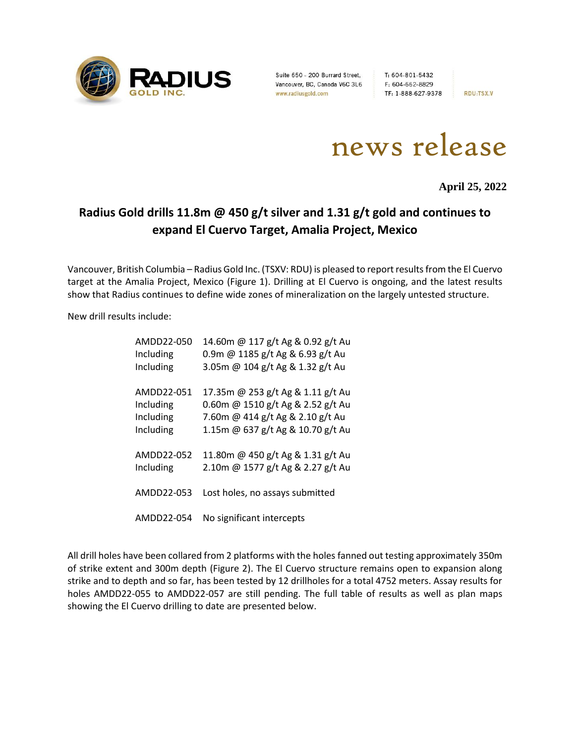

Suite 650 - 200 Burrard Street, T: 604-801-5432<br>Vancouver, BC, Canada V6C 3L6 F: 604-662-8829<br>www.radiusgold.com TF: 1-888-627-9378

**RDU:TSX.V** 



**April 25, 2022**

# **Radius Gold drills 11.8m @ 450 g/t silver and 1.31 g/t gold and continues to expand El Cuervo Target, Amalia Project, Mexico**

Vancouver, British Columbia – Radius Gold Inc. (TSXV: RDU) is pleased to report results from the El Cuervo target at the Amalia Project, Mexico (Figure 1). Drilling at El Cuervo is ongoing, and the latest results show that Radius continues to define wide zones of mineralization on the largely untested structure.

New drill results include:

| AMDD22-050 | 14.60m @ 117 g/t Ag & 0.92 g/t Au |
|------------|-----------------------------------|
| Including  | 0.9m @ 1185 g/t Ag & 6.93 g/t Au  |
| Including  | 3.05m @ 104 g/t Ag & 1.32 g/t Au  |
| AMDD22-051 | 17.35m @ 253 g/t Ag & 1.11 g/t Au |
| Including  | 0.60m @ 1510 g/t Ag & 2.52 g/t Au |
| Including  | 7.60m @ 414 g/t Ag & 2.10 g/t Au  |
| Including  | 1.15m @ 637 g/t Ag & 10.70 g/t Au |
| AMDD22-052 | 11.80m @ 450 g/t Ag & 1.31 g/t Au |
| Including  | 2.10m @ 1577 g/t Ag & 2.27 g/t Au |
| AMDD22-053 | Lost holes, no assays submitted   |
| AMDD22-054 | No significant intercepts         |

All drill holes have been collared from 2 platforms with the holes fanned out testing approximately 350m of strike extent and 300m depth (Figure 2). The El Cuervo structure remains open to expansion along strike and to depth and so far, has been tested by 12 drillholes for a total 4752 meters. Assay results for holes AMDD22-055 to AMDD22-057 are still pending. The full table of results as well as plan maps showing the El Cuervo drilling to date are presented below.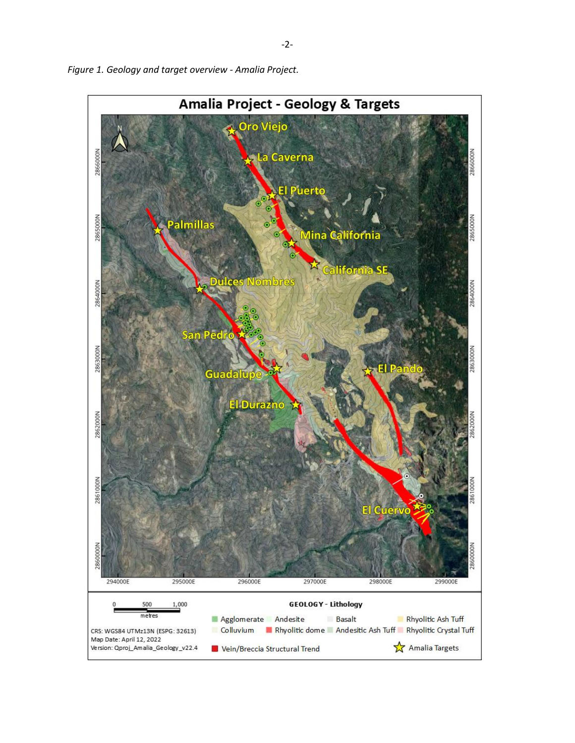

*Figure 1. Geology and target overview - Amalia Project.*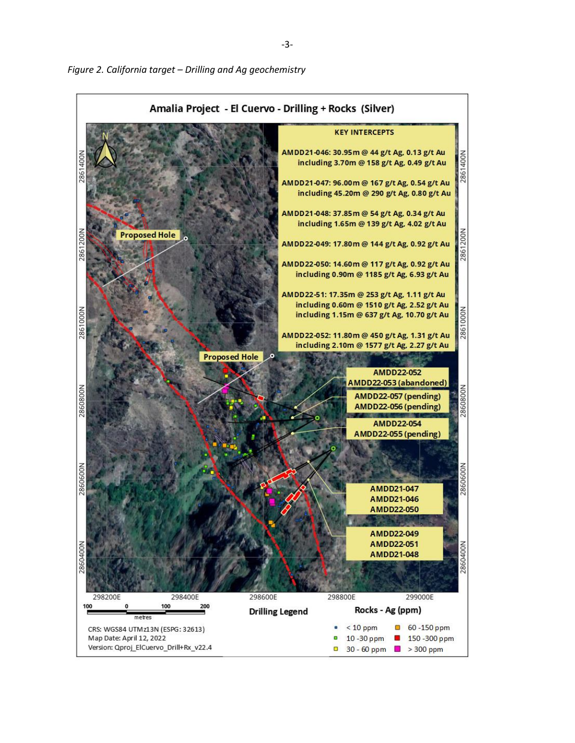

Figure 2. California target - Drilling and Ag geochemistry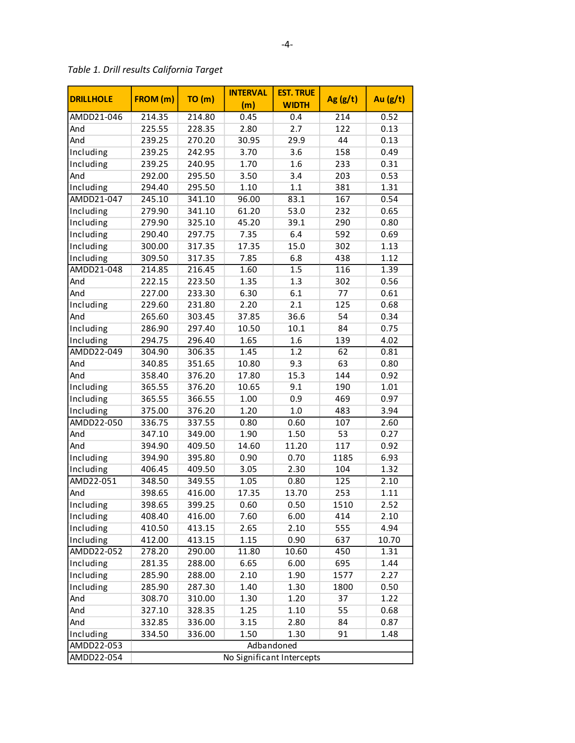| <b>DRILLHOLE</b> | FROM (m)                  | TO(m)  | <b>INTERVAL</b><br>(m) | <b>EST. TRUE</b><br><b>WIDTH</b> | Ag(g/t) | Au $(g/t)$ |  |
|------------------|---------------------------|--------|------------------------|----------------------------------|---------|------------|--|
| AMDD21-046       | 214.35                    | 214.80 | 0.45                   | 0.4                              | 214     | 0.52       |  |
| And              | 225.55                    | 228.35 | 2.80                   | 2.7                              | 122     | 0.13       |  |
| And              | 239.25                    | 270.20 | 30.95                  | 29.9                             | 44      | 0.13       |  |
| Including        | 239.25                    | 242.95 | 3.70                   | 3.6                              | 158     | 0.49       |  |
| Including        | 239.25                    | 240.95 | 1.70                   | 1.6                              | 233     | 0.31       |  |
| And              | 292.00                    | 295.50 | 3.50                   | 3.4                              | 203     | 0.53       |  |
| Including        | 294.40                    | 295.50 | 1.10                   | 1.1                              | 381     | 1.31       |  |
| AMDD21-047       | 245.10                    | 341.10 | 96.00                  | 83.1                             | 167     | 0.54       |  |
| Including        | 279.90                    | 341.10 | 61.20                  | 53.0                             | 232     | 0.65       |  |
| Including        | 279.90                    | 325.10 | 45.20                  | 39.1                             | 290     | 0.80       |  |
| Including        | 290.40                    | 297.75 | 7.35                   | 6.4                              | 592     | 0.69       |  |
| Including        | 300.00                    | 317.35 | 17.35                  | 15.0                             | 302     | 1.13       |  |
| Including        | 309.50                    | 317.35 | 7.85                   | 6.8                              | 438     | 1.12       |  |
| AMDD21-048       | 214.85                    | 216.45 | 1.60                   | 1.5                              | 116     | 1.39       |  |
| And              | 222.15                    | 223.50 | 1.35                   | 1.3                              | 302     | 0.56       |  |
| And              | 227.00                    | 233.30 | 6.30                   | 6.1                              | 77      | 0.61       |  |
|                  |                           |        | 2.20                   | 2.1                              | 125     | 0.68       |  |
| Including<br>And | 229.60                    | 231.80 | 37.85                  | 36.6                             | 54      |            |  |
|                  | 265.60                    | 303.45 |                        |                                  |         | 0.34       |  |
| Including        | 286.90                    | 297.40 | 10.50                  | 10.1                             | 84      | 0.75       |  |
| Including        | 294.75                    | 296.40 | 1.65                   | 1.6                              | 139     | 4.02       |  |
| AMDD22-049       | 304.90                    | 306.35 | 1.45                   | 1.2                              | 62      | 0.81       |  |
| And              | 340.85                    | 351.65 | 10.80                  | 9.3                              | 63      | 0.80       |  |
| And              | 358.40                    | 376.20 | 17.80                  | 15.3                             | 144     | 0.92       |  |
| Including        | 365.55                    | 376.20 | 10.65                  | 9.1                              | 190     | 1.01       |  |
| Including        | 365.55                    | 366.55 | 1.00                   | 0.9                              | 469     | 0.97       |  |
| Including        | 375.00                    | 376.20 | 1.20                   | $1.0\,$                          | 483     | 3.94       |  |
| AMDD22-050       | 336.75                    | 337.55 | 0.80                   | 0.60                             | 107     | 2.60       |  |
| And              | 347.10                    | 349.00 | 1.90                   | 1.50                             | 53      | 0.27       |  |
| And              | 394.90                    | 409.50 | 14.60                  | 11.20                            | 117     | 0.92       |  |
| Including        | 394.90                    | 395.80 | 0.90                   | 0.70                             | 1185    | 6.93       |  |
| Including        | 406.45                    | 409.50 | 3.05                   | 2.30                             | 104     | 1.32       |  |
| AMD22-051        | 348.50                    | 349.55 | 1.05                   | 0.80                             | 125     | 2.10       |  |
| And              | 398.65                    | 416.00 | 17.35                  | 13.70                            | 253     | 1.11       |  |
| Including        | 398.65                    | 399.25 | 0.60                   | 0.50                             | 1510    | 2.52       |  |
| Including        | 408.40                    | 416.00 | 7.60                   | 6.00                             | 414     | 2.10       |  |
| Including        | 410.50                    | 413.15 | 2.65                   | 2.10                             | 555     | 4.94       |  |
| Including        | 412.00                    | 413.15 | 1.15                   | 0.90                             | 637     | 10.70      |  |
| AMDD22-052       | 278.20                    | 290.00 | 11.80                  | 10.60                            | 450     | 1.31       |  |
| Including        | 281.35                    | 288.00 | 6.65                   | 6.00                             | 695     | 1.44       |  |
| Including        | 285.90                    | 288.00 | 2.10                   | 1.90                             | 1577    | 2.27       |  |
| Including        | 285.90                    | 287.30 | 1.40                   | 1.30                             | 1800    | 0.50       |  |
| And              | 308.70                    | 310.00 | 1.30                   | 1.20                             | 37      | 1.22       |  |
| And              | 327.10                    | 328.35 | 1.25                   | 1.10                             | 55      | 0.68       |  |
| And              | 332.85                    | 336.00 | 3.15                   | 2.80                             | 84      | 0.87       |  |
| Including        | 334.50                    | 336.00 | 1.50                   | 1.30                             | 91      | 1.48       |  |
| AMDD22-053       | Adbandoned                |        |                        |                                  |         |            |  |
| AMDD22-054       | No Significant Intercepts |        |                        |                                  |         |            |  |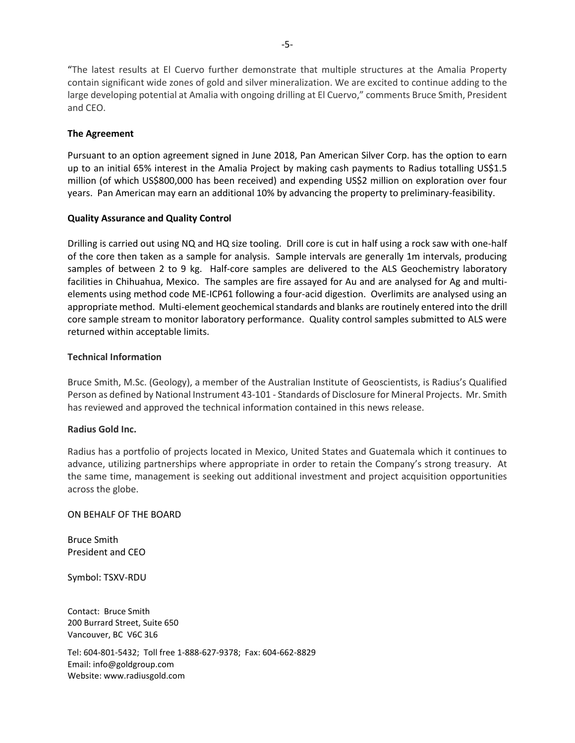"The latest results at El Cuervo further demonstrate that multiple structures at the Amalia Property contain significant wide zones of gold and silver mineralization. We are excited to continue adding to the large developing potential at Amalia with ongoing drilling at El Cuervo," comments Bruce Smith, President and CEO.

# **The Agreement**

Pursuant to an option agreement signed in June 2018, Pan American Silver Corp. has the option to earn up to an initial 65% interest in the Amalia Project by making cash payments to Radius totalling US\$1.5 million (of which US\$800,000 has been received) and expending US\$2 million on exploration over four years. Pan American may earn an additional 10% by advancing the property to preliminary-feasibility.

## **Quality Assurance and Quality Control**

Drilling is carried out using NQ and HQ size tooling. Drill core is cut in half using a rock saw with one-half of the core then taken as a sample for analysis. Sample intervals are generally 1m intervals, producing samples of between 2 to 9 kg. Half-core samples are delivered to the ALS Geochemistry laboratory facilities in Chihuahua, Mexico. The samples are fire assayed for Au and are analysed for Ag and multielements using method code ME-ICP61 following a four-acid digestion. Overlimits are analysed using an appropriate method. Multi-element geochemical standards and blanks are routinely entered into the drill core sample stream to monitor laboratory performance. Quality control samples submitted to ALS were returned within acceptable limits.

## **Technical Information**

Bruce Smith, M.Sc. (Geology), a member of the Australian Institute of Geoscientists, is Radius's Qualified Person as defined by National Instrument 43-101 - Standards of Disclosure for Mineral Projects. Mr. Smith has reviewed and approved the technical information contained in this news release.

#### **Radius Gold Inc.**

Radius has a portfolio of projects located in Mexico, United States and Guatemala which it continues to advance, utilizing partnerships where appropriate in order to retain the Company's strong treasury. At the same time, management is seeking out additional investment and project acquisition opportunities across the globe.

#### ON BEHALF OF THE BOARD

Bruce Smith President and CEO

Symbol: TSXV-RDU

Contact: Bruce Smith 200 Burrard Street, Suite 650 Vancouver, BC V6C 3L6

Tel: 604-801-5432; Toll free 1-888-627-9378; Fax: 604-662-8829 Email: info@goldgroup.com Website: www.radiusgold.com